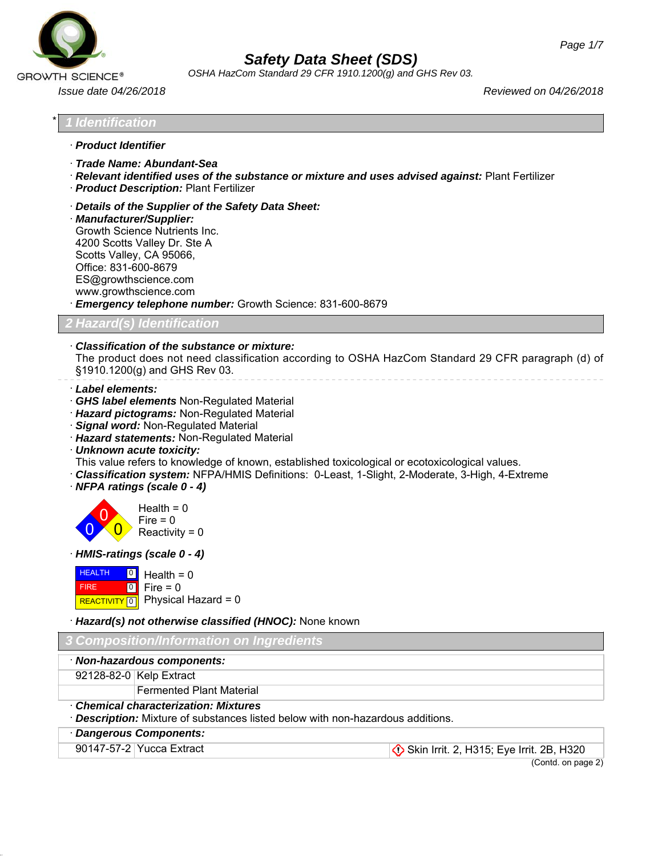

*OSHA HazCom Standard 29 CFR 1910.1200(g) and GHS Rev 03.*

*Issue date 04/26/2018 Reviewed on 04/26/2018*

\* *1 Identification*

- · *Product Identifier*
- · *Trade Name: Abundant-Sea*
- · *Relevant identified uses of the substance or mixture and uses advised against:* Plant Fertilizer
- · *Product Description:* Plant Fertilizer
- · *Details of the Supplier of the Safety Data Sheet:*
- · *Manufacturer/Supplier:* Growth Science Nutrients Inc. 4200 Scotts Valley Dr. Ste A Scotts Valley, CA 95066, Office: 831-600-8679 ES@growthscience.com www.growthscience.com
- · *Emergency telephone number:* Growth Science: 831-600-8679

*2 Hazard(s) Identification*

· *Classification of the substance or mixture:*

The product does not need classification according to OSHA HazCom Standard 29 CFR paragraph (d) of §1910.1200(g) and GHS Rev 03.

- · *Label elements:*
- · *GHS label elements* Non-Regulated Material
- · *Hazard pictograms:* Non-Regulated Material
- · *Signal word:* Non-Regulated Material
- · *Hazard statements:* Non-Regulated Material
- · *Unknown acute toxicity:*
- This value refers to knowledge of known, established toxicological or ecotoxicological values.
- · *Classification system:* NFPA/HMIS Definitions: 0-Least, 1-Slight, 2-Moderate, 3-High, 4-Extreme
- · *NFPA ratings (scale 0 4)*



· *HMIS-ratings (scale 0 - 4)*



Physical Hazard = 0

· *Hazard(s) not otherwise classified (HNOC):* None known

| 3 Composition/Information on Ingredients                                                                                             |                          |  |  |
|--------------------------------------------------------------------------------------------------------------------------------------|--------------------------|--|--|
| · Non-hazardous components:                                                                                                          |                          |  |  |
|                                                                                                                                      | 92128-82-0 Kelp Extract  |  |  |
|                                                                                                                                      | Fermented Plant Material |  |  |
| <b>Chemical characterization: Mixtures</b><br>· <b>Description:</b> Mixture of substances listed below with non-hazardous additions. |                          |  |  |

· *Dangerous Components:*

46.2.1

90147-57-2 Yucca Extract Skin Irrit. 2, H315; Eye Irrit. 2B, H320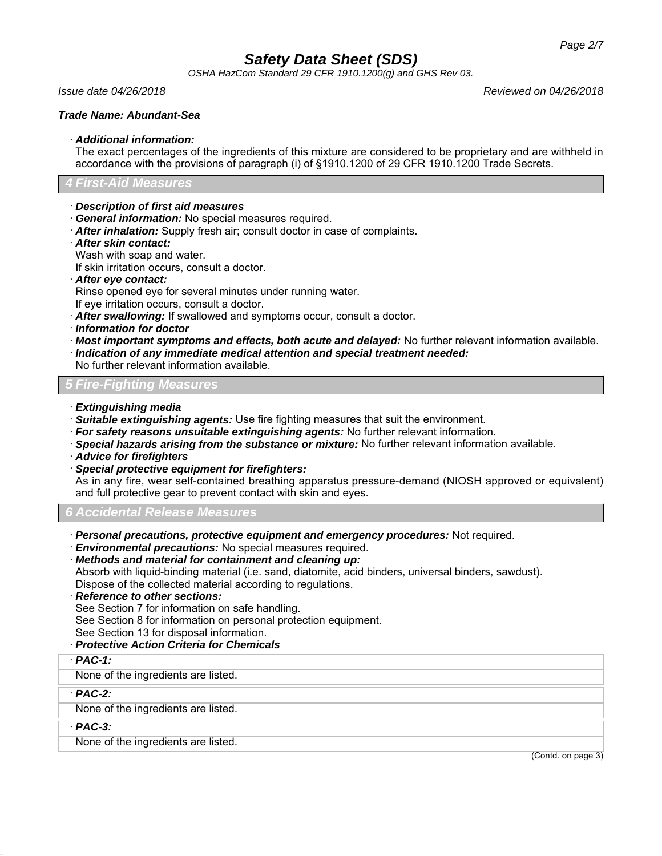*OSHA HazCom Standard 29 CFR 1910.1200(g) and GHS Rev 03.*

*Issue date 04/26/2018 Reviewed on 04/26/2018*

## *Trade Name: Abundant-Sea*

## · *Additional information:*

The exact percentages of the ingredients of this mixture are considered to be proprietary and are withheld in accordance with the provisions of paragraph (i) of §1910.1200 of 29 CFR 1910.1200 Trade Secrets.

# *4 First-Aid Measures*

- · *Description of first aid measures*
- · *General information:* No special measures required.
- · *After inhalation:* Supply fresh air; consult doctor in case of complaints.
- · *After skin contact:*

Wash with soap and water.

If skin irritation occurs, consult a doctor.

· *After eye contact:*

Rinse opened eye for several minutes under running water.

- If eye irritation occurs, consult a doctor.
- · *After swallowing:* If swallowed and symptoms occur, consult a doctor.
- · *Information for doctor*
- · *Most important symptoms and effects, both acute and delayed:* No further relevant information available.
- · *Indication of any immediate medical attention and special treatment needed:*

No further relevant information available.

*5 Fire-Fighting Measures*

- · *Extinguishing media*
- · *Suitable extinguishing agents:* Use fire fighting measures that suit the environment.
- · *For safety reasons unsuitable extinguishing agents:* No further relevant information.
- · *Special hazards arising from the substance or mixture:* No further relevant information available.
- · *Advice for firefighters*
- · *Special protective equipment for firefighters:*

As in any fire, wear self-contained breathing apparatus pressure-demand (NIOSH approved or equivalent) and full protective gear to prevent contact with skin and eyes.

*6 Accidental Release Measures*

- · *Personal precautions, protective equipment and emergency procedures:* Not required.
- · *Environmental precautions:* No special measures required.

· *Methods and material for containment and cleaning up:* Absorb with liquid-binding material (i.e. sand, diatomite, acid binders, universal binders, sawdust). Dispose of the collected material according to regulations.

· *Reference to other sections:*

See Section 7 for information on safe handling.

See Section 8 for information on personal protection equipment.

See Section 13 for disposal information.

- · *Protective Action Criteria for Chemicals*
- · *PAC-1:*

None of the ingredients are listed.

· *PAC-2:*

None of the ingredients are listed.

· *PAC-3:*

46.2.1

None of the ingredients are listed.

(Contd. on page 3)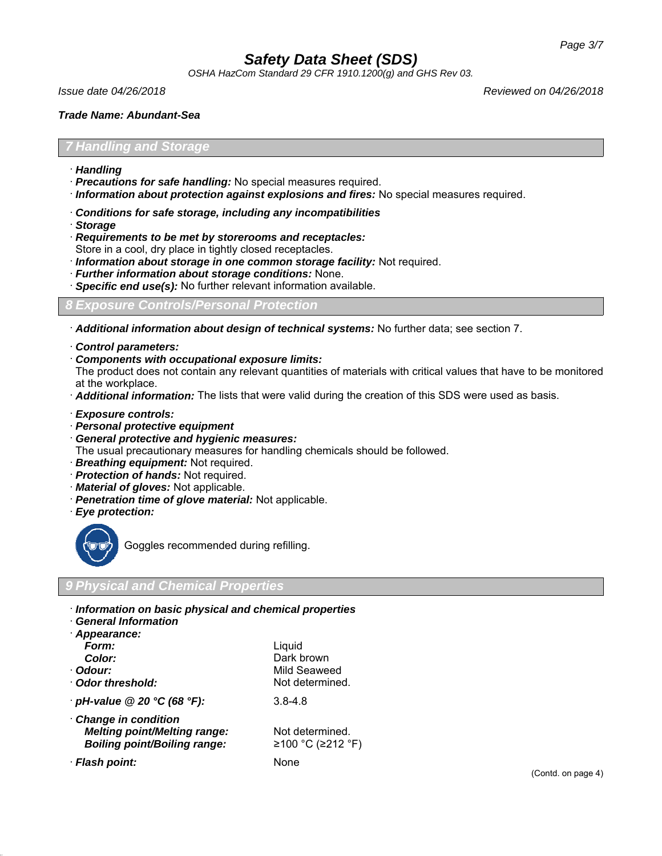*OSHA HazCom Standard 29 CFR 1910.1200(g) and GHS Rev 03.*

*Issue date 04/26/2018 Reviewed on 04/26/2018*

#### *Trade Name: Abundant-Sea*

### *7 Handling and Storage*

- · *Handling*
- · *Precautions for safe handling:* No special measures required.
- · *Information about protection against explosions and fires:* No special measures required.
- · *Conditions for safe storage, including any incompatibilities*
- · *Storage*
- · *Requirements to be met by storerooms and receptacles:*
- Store in a cool, dry place in tightly closed receptacles.
- · *Information about storage in one common storage facility:* Not required.
- · *Further information about storage conditions:* None.
- **Specific end use(s):** No further relevant information available.

### *8 Exposure Controls/Personal Protection*

· *Additional information about design of technical systems:* No further data; see section 7.

- · *Control parameters:*
- · *Components with occupational exposure limits:*

The product does not contain any relevant quantities of materials with critical values that have to be monitored at the workplace.

- · *Additional information:* The lists that were valid during the creation of this SDS were used as basis.
- · *Exposure controls:*
- · *Personal protective equipment*
- · *General protective and hygienic measures:*

The usual precautionary measures for handling chemicals should be followed.

- · *Breathing equipment:* Not required.
- · *Protection of hands:* Not required.
- · *Material of gloves:* Not applicable.
- · *Penetration time of glove material:* Not applicable.
- · *Eye protection:*



46.2.1

Goggles recommended during refilling.

## *9 Physical and Chemical Properties*

- · *Information on basic physical and chemical properties*
- · *General Information*

| Appearance:                         |                   |
|-------------------------------------|-------------------|
| Form:                               | Liquid            |
| Color:                              | Dark brown        |
| · Odour:                            | Mild Seaweed      |
| Odor threshold:                     | Not determined.   |
| $\cdot$ pH-value @ 20 °C (68 °F):   | $3.8 - 4.8$       |
| Change in condition                 |                   |
| <b>Melting point/Melting range:</b> | Not determined.   |
| <b>Boiling point/Boiling range:</b> | ≥100 °C (≥212 °F) |
| · Flash point:                      | None              |
|                                     |                   |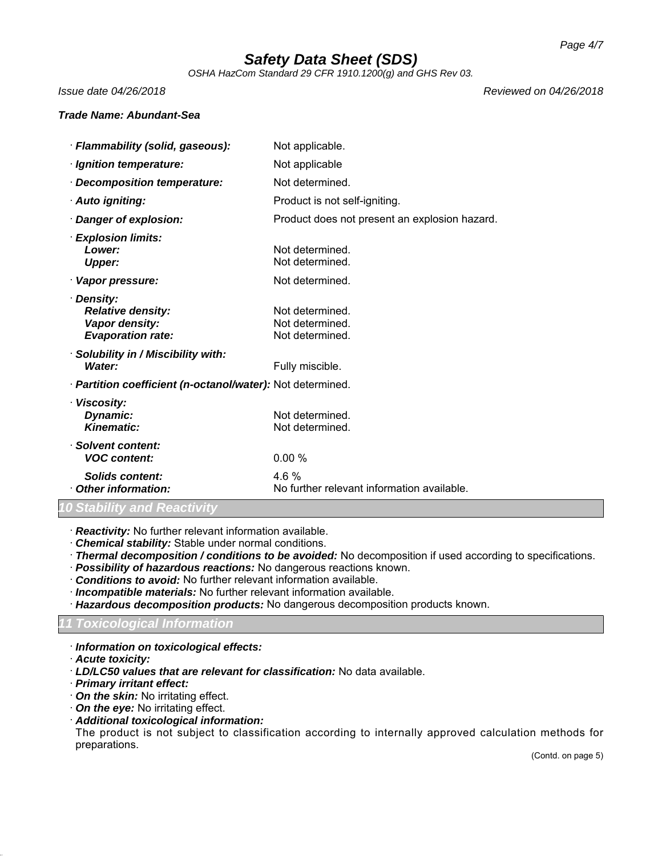*OSHA HazCom Standard 29 CFR 1910.1200(g) and GHS Rev 03.*

*Issue date 04/26/2018 Reviewed on 04/26/2018*

### *Trade Name: Abundant-Sea*

| · Flammability (solid, gaseous):                                                          | Not applicable.                                       |  |  |
|-------------------------------------------------------------------------------------------|-------------------------------------------------------|--|--|
| · Ignition temperature:                                                                   | Not applicable                                        |  |  |
| Decomposition temperature:                                                                | Not determined.                                       |  |  |
| · Auto igniting:                                                                          | Product is not self-igniting.                         |  |  |
| Danger of explosion:                                                                      | Product does not present an explosion hazard.         |  |  |
| <b>Explosion limits:</b><br>Lower:<br><b>Upper:</b>                                       | Not determined.<br>Not determined.                    |  |  |
| · Vapor pressure:                                                                         | Not determined.                                       |  |  |
| <b>Density:</b><br><b>Relative density:</b><br>Vapor density:<br><b>Evaporation rate:</b> | Not determined.<br>Not determined.<br>Not determined. |  |  |
| Solubility in / Miscibility with:<br>Water:                                               | Fully miscible.                                       |  |  |
| · Partition coefficient (n-octanol/water): Not determined.                                |                                                       |  |  |
| · Viscosity:<br>Dynamic:<br><b>Kinematic:</b>                                             | Not determined.<br>Not determined.                    |  |  |
| · Solvent content:<br><b>VOC content:</b>                                                 | 0.00%                                                 |  |  |
| Solids content:<br><b>Other information:</b>                                              | 4.6%<br>No further relevant information available.    |  |  |
|                                                                                           |                                                       |  |  |

#### *10 Stability and Reactivity*

· *Reactivity:* No further relevant information available.

· *Chemical stability:* Stable under normal conditions.

· *Thermal decomposition / conditions to be avoided:* No decomposition if used according to specifications.

- · *Possibility of hazardous reactions:* No dangerous reactions known.
- · *Conditions to avoid:* No further relevant information available.
- · *Incompatible materials:* No further relevant information available.
- · *Hazardous decomposition products:* No dangerous decomposition products known.

# *11 Toxicological Information*

- · *Information on toxicological effects:*
- · *Acute toxicity:*

46.2.1

- · *LD/LC50 values that are relevant for classification:* No data available.
- · *Primary irritant effect:*
- · *On the skin:* No irritating effect.
- · *On the eye:* No irritating effect.
- · *Additional toxicological information:*

The product is not subject to classification according to internally approved calculation methods for preparations.

(Contd. on page 5)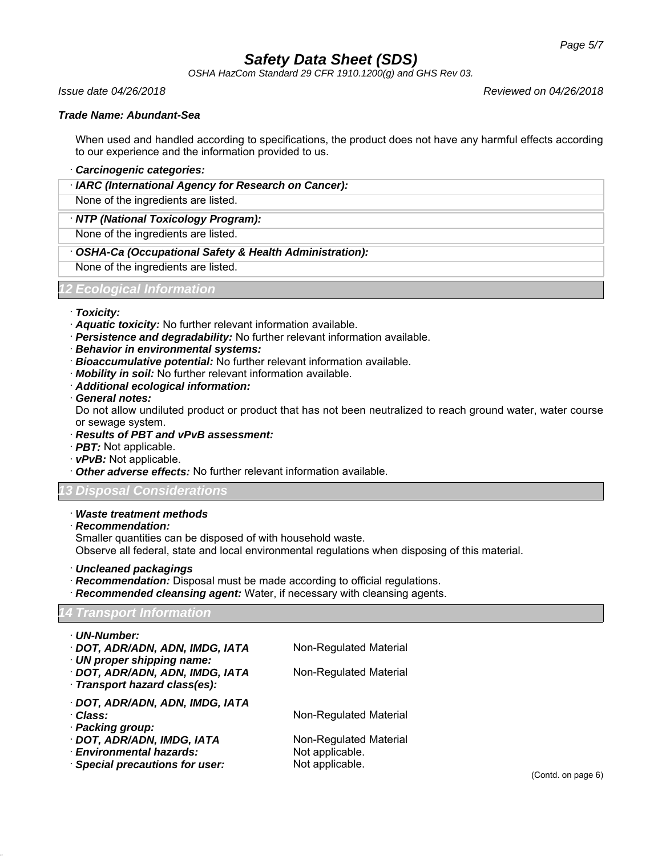*OSHA HazCom Standard 29 CFR 1910.1200(g) and GHS Rev 03.*

*Issue date 04/26/2018 Reviewed on 04/26/2018*

### *Trade Name: Abundant-Sea*

When used and handled according to specifications, the product does not have any harmful effects according to our experience and the information provided to us.

#### · *Carcinogenic categories:*

· *IARC (International Agency for Research on Cancer):*

None of the ingredients are listed.

· *NTP (National Toxicology Program):*

None of the ingredients are listed.

· *OSHA-Ca (Occupational Safety & Health Administration):*

None of the ingredients are listed.

### *12 Ecological Information*

#### · *Toxicity:*

- · *Aquatic toxicity:* No further relevant information available.
- · *Persistence and degradability:* No further relevant information available.
- · *Behavior in environmental systems:*
- · *Bioaccumulative potential:* No further relevant information available.
- · *Mobility in soil:* No further relevant information available.
- · *Additional ecological information:*
- · *General notes:*

Do not allow undiluted product or product that has not been neutralized to reach ground water, water course or sewage system.

- · *Results of PBT and vPvB assessment:*
- · *PBT:* Not applicable.
- · *vPvB:* Not applicable.
- · *Other adverse effects:* No further relevant information available.

## *13 Disposal Considerations*

#### · *Waste treatment methods*

· *Recommendation:*

46.2.1

Smaller quantities can be disposed of with household waste.

Observe all federal, state and local environmental regulations when disposing of this material.

· *Uncleaned packagings*

- · *Recommendation:* Disposal must be made according to official regulations.
- Recommended cleansing agent: Water, if necessary with cleansing agents.

# *14 Transport Information*

| · UN-Number:                     |                        |
|----------------------------------|------------------------|
| · DOT, ADR/ADN, ADN, IMDG, IATA  | Non-Regulated Material |
| $\cdot$ UN proper shipping name: |                        |
| · DOT, ADR/ADN, ADN, IMDG, IATA  | Non-Regulated Material |
| · Transport hazard class(es):    |                        |
| · DOT, ADR/ADN, ADN, IMDG, IATA  |                        |
| · Class:                         | Non-Regulated Material |
| · Packing group:                 |                        |
| · DOT, ADR/ADN, IMDG, IATA       | Non-Regulated Material |
| · Environmental hazards:         | Not applicable.        |
| Special precautions for user:    | Not applicable.        |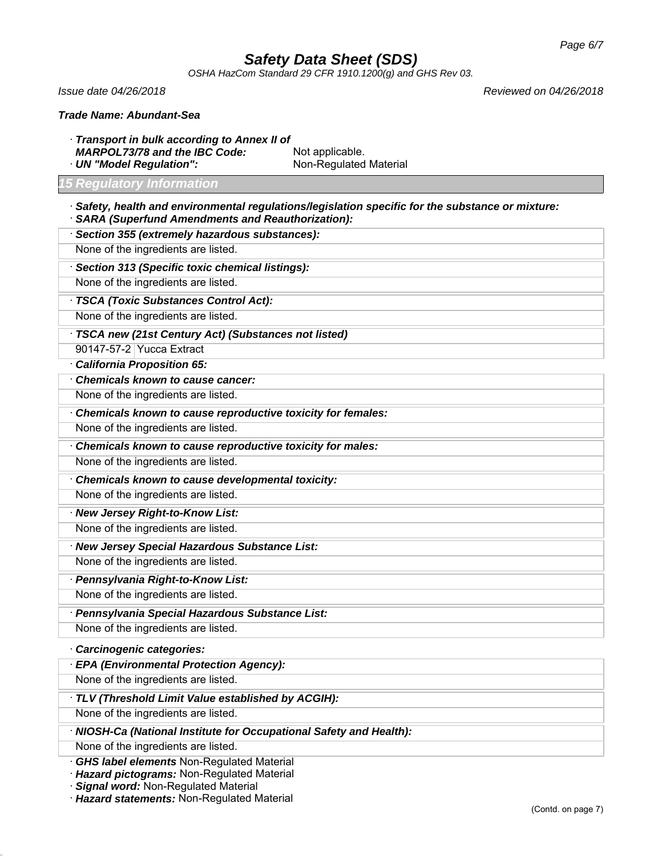*OSHA HazCom Standard 29 CFR 1910.1200(g) and GHS Rev 03.*

*Issue date 04/26/2018 Reviewed on 04/26/2018*

· *Transport in bulk according to Annex II of* MARPOL73/78 and the IBC Code: Not applicable. · **UN "Model Regulation":** Non-Regulated Material

#### *15 Regulatory Information*

- · *Safety, health and environmental regulations/legislation specific for the substance or mixture:*
- · *SARA (Superfund Amendments and Reauthorization):*
- · *Section 355 (extremely hazardous substances):* None of the ingredients are listed. · *Section 313 (Specific toxic chemical listings):* None of the ingredients are listed. · *TSCA (Toxic Substances Control Act):* None of the ingredients are listed. · *TSCA new (21st Century Act) (Substances not listed)* 90147-57-2 Yucca Extract
- · *California Proposition 65:*
- · *Chemicals known to cause cancer:*
- None of the ingredients are listed.
- · *Chemicals known to cause reproductive toxicity for females:*
- None of the ingredients are listed.
- · *Chemicals known to cause reproductive toxicity for males:*
- None of the ingredients are listed.
- · *Chemicals known to cause developmental toxicity:*
- None of the ingredients are listed.
- · *New Jersey Right-to-Know List:* None of the ingredients are listed.
- · *New Jersey Special Hazardous Substance List:* None of the ingredients are listed.
- · *Pennsylvania Right-to-Know List:* None of the ingredients are listed.
- · *Pennsylvania Special Hazardous Substance List:*
- None of the ingredients are listed.
- · *Carcinogenic categories:*
- · *EPA (Environmental Protection Agency):*
- None of the ingredients are listed.
- · *TLV (Threshold Limit Value established by ACGIH):*
- None of the ingredients are listed.
- · *NIOSH-Ca (National Institute for Occupational Safety and Health):*
- None of the ingredients are listed.

46.2.1

- · *GHS label elements* Non-Regulated Material
- · *Hazard pictograms:* Non-Regulated Material
- · *Signal word:* Non-Regulated Material
- · *Hazard statements:* Non-Regulated Material